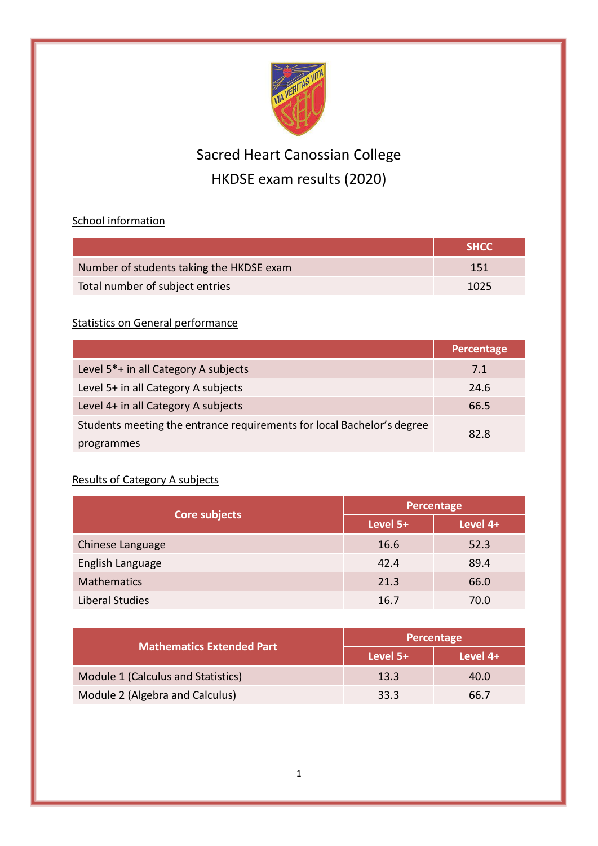

# Sacred Heart Canossian College HKDSE exam results (2020)

### School information

|                                          | SHCC. |
|------------------------------------------|-------|
| Number of students taking the HKDSE exam | 151   |
| Total number of subject entries          | 1025  |

#### **Statistics on General performance**

|                                                                        | Percentage |  |
|------------------------------------------------------------------------|------------|--|
| Level 5 <sup>*</sup> + in all Category A subjects                      | 7.1        |  |
| Level 5+ in all Category A subjects                                    | 24.6       |  |
| Level 4+ in all Category A subjects                                    | 66.5       |  |
| Students meeting the entrance requirements for local Bachelor's degree | 82.8       |  |
| programmes                                                             |            |  |

## Results of Category A subjects

| Core subjects      | Percentage |          |
|--------------------|------------|----------|
|                    | Level 5+   | Level 4+ |
| Chinese Language   | 16.6       | 52.3     |
| English Language   | 42.4       | 89.4     |
| <b>Mathematics</b> | 21.3       | 66.0     |
| Liberal Studies    | 16.7       | 70.0     |

| <b>Mathematics Extended Part</b>   | Percentage |          |
|------------------------------------|------------|----------|
|                                    | Level 5+   | Level 4+ |
| Module 1 (Calculus and Statistics) | 13.3       | 40.0     |
| Module 2 (Algebra and Calculus)    | 33.3       | 66.7     |